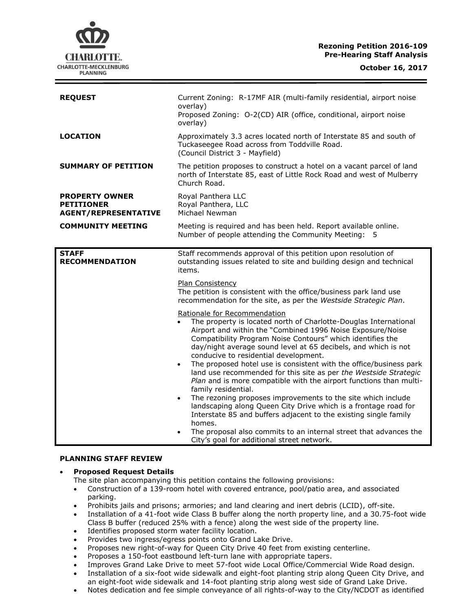# **Rezoning Petition 2016-109 Pre-Hearing Staff Analysis**

| <b>REQUEST</b>                                                            | Current Zoning: R-17MF AIR (multi-family residential, airport noise<br>overlay)<br>Proposed Zoning: O-2(CD) AIR (office, conditional, airport noise<br>overlay)                                                                                                                                                                                                                                                                                                                                                                                                                                                                                                                                                                                                                                                                                                                                                    |
|---------------------------------------------------------------------------|--------------------------------------------------------------------------------------------------------------------------------------------------------------------------------------------------------------------------------------------------------------------------------------------------------------------------------------------------------------------------------------------------------------------------------------------------------------------------------------------------------------------------------------------------------------------------------------------------------------------------------------------------------------------------------------------------------------------------------------------------------------------------------------------------------------------------------------------------------------------------------------------------------------------|
| <b>LOCATION</b>                                                           | Approximately 3.3 acres located north of Interstate 85 and south of<br>Tuckaseegee Road across from Toddville Road.<br>(Council District 3 - Mayfield)                                                                                                                                                                                                                                                                                                                                                                                                                                                                                                                                                                                                                                                                                                                                                             |
| <b>SUMMARY OF PETITION</b>                                                | The petition proposes to construct a hotel on a vacant parcel of land<br>north of Interstate 85, east of Little Rock Road and west of Mulberry<br>Church Road.                                                                                                                                                                                                                                                                                                                                                                                                                                                                                                                                                                                                                                                                                                                                                     |
| <b>PROPERTY OWNER</b><br><b>PETITIONER</b><br><b>AGENT/REPRESENTATIVE</b> | Royal Panthera LLC<br>Royal Panthera, LLC<br>Michael Newman                                                                                                                                                                                                                                                                                                                                                                                                                                                                                                                                                                                                                                                                                                                                                                                                                                                        |
| <b>COMMUNITY MEETING</b>                                                  | Meeting is required and has been held. Report available online.<br>Number of people attending the Community Meeting: 5                                                                                                                                                                                                                                                                                                                                                                                                                                                                                                                                                                                                                                                                                                                                                                                             |
| <b>STAFF</b><br><b>RECOMMENDATION</b>                                     | Staff recommends approval of this petition upon resolution of<br>outstanding issues related to site and building design and technical<br>items.                                                                                                                                                                                                                                                                                                                                                                                                                                                                                                                                                                                                                                                                                                                                                                    |
|                                                                           | Plan Consistency<br>The petition is consistent with the office/business park land use<br>recommendation for the site, as per the Westside Strategic Plan.                                                                                                                                                                                                                                                                                                                                                                                                                                                                                                                                                                                                                                                                                                                                                          |
|                                                                           | Rationale for Recommendation<br>The property is located north of Charlotte-Douglas International<br>Airport and within the "Combined 1996 Noise Exposure/Noise<br>Compatibility Program Noise Contours" which identifies the<br>day/night average sound level at 65 decibels, and which is not<br>conducive to residential development.<br>The proposed hotel use is consistent with the office/business park<br>land use recommended for this site as per the Westside Strategic<br>Plan and is more compatible with the airport functions than multi-<br>family residential.<br>The rezoning proposes improvements to the site which include<br>landscaping along Queen City Drive which is a frontage road for<br>Interstate 85 and buffers adjacent to the existing single family<br>homes.<br>The proposal also commits to an internal street that advances the<br>City's goal for additional street network. |

#### **PLANNING STAFF REVIEW**

#### **Proposed Request Details**

- The site plan accompanying this petition contains the following provisions:
- Construction of a 139-room hotel with covered entrance, pool/patio area, and associated parking.
- Prohibits jails and prisons; armories; and land clearing and inert debris (LCID), off-site.
- Installation of a 41-foot wide Class B buffer along the north property line, and a 30.75-foot wide Class B buffer (reduced 25% with a fence) along the west side of the property line.
- Identifies proposed storm water facility location.
- Provides two ingress/egress points onto Grand Lake Drive.
- Proposes new right-of-way for Queen City Drive 40 feet from existing centerline.
- Proposes a 150-foot eastbound left-turn lane with appropriate tapers.
- Improves Grand Lake Drive to meet 57-foot wide Local Office/Commercial Wide Road design.
- Installation of a six-foot wide sidewalk and eight-foot planting strip along Queen City Drive, and an eight-foot wide sidewalk and 14-foot planting strip along west side of Grand Lake Drive.
- Notes dedication and fee simple conveyance of all rights-of-way to the City/NCDOT as identified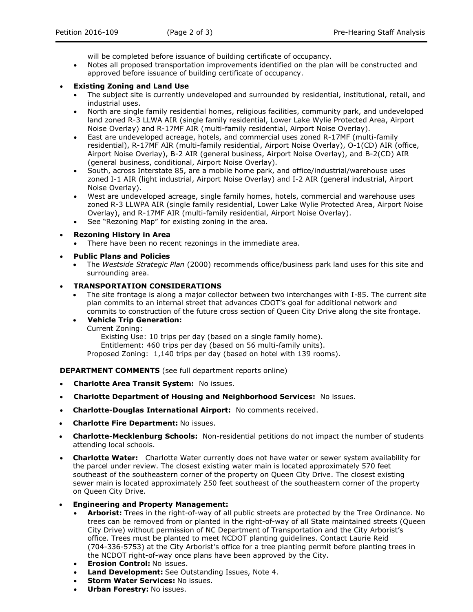will be completed before issuance of building certificate of occupancy.

 Notes all proposed transportation improvements identified on the plan will be constructed and approved before issuance of building certificate of occupancy.

#### **Existing Zoning and Land Use**

- The subject site is currently undeveloped and surrounded by residential, institutional, retail, and industrial uses.
- North are single family residential homes, religious facilities, community park, and undeveloped land zoned R-3 LLWA AIR (single family residential, Lower Lake Wylie Protected Area, Airport Noise Overlay) and R-17MF AIR (multi-family residential, Airport Noise Overlay).
- East are undeveloped acreage, hotels, and commercial uses zoned R-17MF (multi-family residential), R-17MF AIR (multi-family residential, Airport Noise Overlay), O-1(CD) AIR (office, Airport Noise Overlay), B-2 AIR (general business, Airport Noise Overlay), and B-2(CD) AIR (general business, conditional, Airport Noise Overlay).
- South, across Interstate 85, are a mobile home park, and office/industrial/warehouse uses zoned I-1 AIR (light industrial, Airport Noise Overlay) and I-2 AIR (general industrial, Airport Noise Overlay).
- West are undeveloped acreage, single family homes, hotels, commercial and warehouse uses zoned R-3 LLWPA AIR (single family residential, Lower Lake Wylie Protected Area, Airport Noise Overlay), and R-17MF AIR (multi-family residential, Airport Noise Overlay).
- See "Rezoning Map" for existing zoning in the area.

#### **Rezoning History in Area**

- There have been no recent rezonings in the immediate area.
- **Public Plans and Policies**
	- The *Westside Strategic Plan* (2000) recommends office/business park land uses for this site and surrounding area.

#### **TRANSPORTATION CONSIDERATIONS**

 The site frontage is along a major collector between two interchanges with I-85. The current site plan commits to an internal street that advances CDOT's goal for additional network and commits to construction of the future cross section of Queen City Drive along the site frontage.

#### **Vehicle Trip Generation:**

Current Zoning:

Existing Use: 10 trips per day (based on a single family home).

Entitlement: 460 trips per day (based on 56 multi-family units).

Proposed Zoning: 1,140 trips per day (based on hotel with 139 rooms).

**DEPARTMENT COMMENTS** (see full department reports online)

- **Charlotte Area Transit System:** No issues.
- **Charlotte Department of Housing and Neighborhood Services:** No issues.
- **Charlotte-Douglas International Airport:** No comments received.
- **Charlotte Fire Department:** No issues.
- **Charlotte-Mecklenburg Schools:** Non-residential petitions do not impact the number of students attending local schools.
- **Charlotte Water:** Charlotte Water currently does not have water or sewer system availability for the parcel under review. The closest existing water main is located approximately 570 feet southeast of the southeastern corner of the property on Queen City Drive. The closest existing sewer main is located approximately 250 feet southeast of the southeastern corner of the property on Queen City Drive.

#### **Engineering and Property Management:**

- **Arborist:** Trees in the right-of-way of all public streets are protected by the Tree Ordinance. No trees can be removed from or planted in the right-of-way of all State maintained streets (Queen City Drive) without permission of NC Department of Transportation and the City Arborist's office. Trees must be planted to meet NCDOT planting guidelines. Contact Laurie Reid (704-336-5753) at the City Arborist's office for a tree planting permit before planting trees in the NCDOT right-of-way once plans have been approved by the City.
- **Erosion Control:** No issues.
- **Land Development:** See Outstanding Issues, Note 4.
- **Storm Water Services: No issues.**
- **Urban Forestry:** No issues.